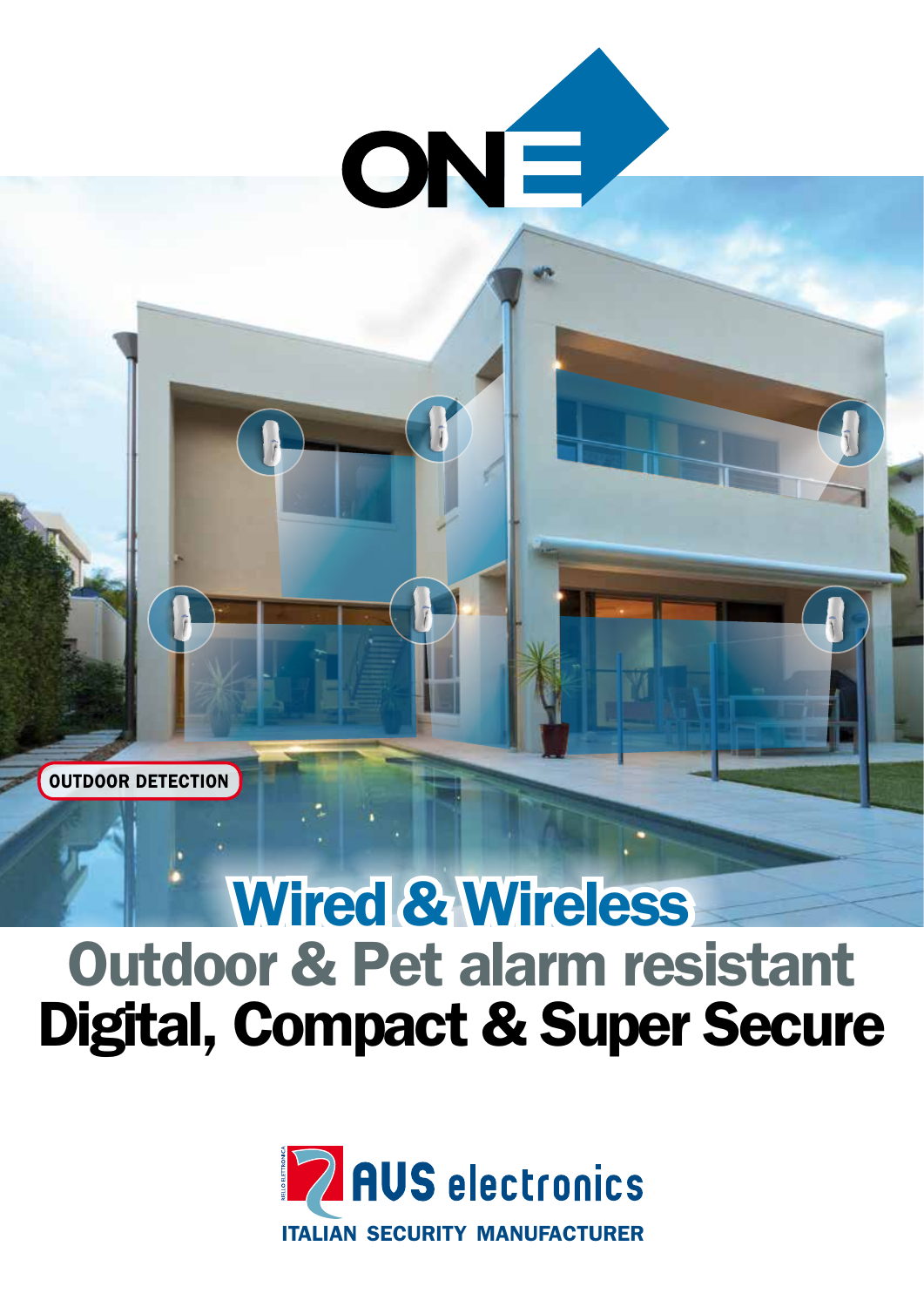

## Wired & Wireless Outdoor & Pet alarm resistant Digital, Compact & Super Secure

OUTDOOR DETECTION